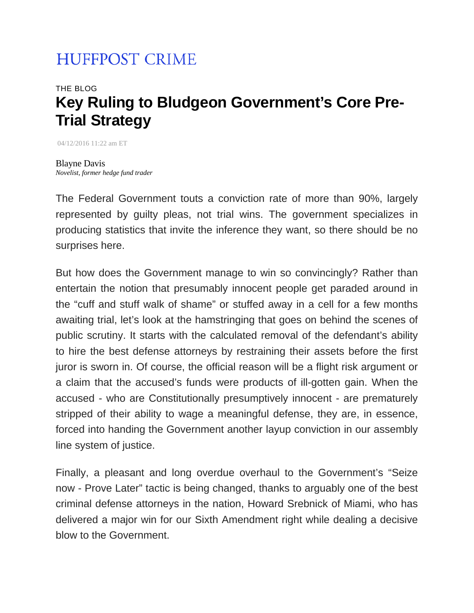## **HUFFPOST CRIME**

## THE BLOG **Key Ruling to Bludgeon Government's Core Pre-Trial Strategy**

04/12/2016 11:22 am ET

Blayne Davis *Novelist, former hedge fund trader* 

The Federal Government touts a conviction rate of more than 90%, largely represented by guilty pleas, not trial wins. The government specializes in producing statistics that invite the inference they want, so there should be no surprises here.

But how does the Government manage to win so convincingly? Rather than entertain the notion that presumably innocent people get paraded around in the "cuff and stuff walk of shame" or stuffed away in a cell for a few months awaiting trial, let's look at the hamstringing that goes on behind the scenes of public scrutiny. It starts with the calculated removal of the defendant's ability to hire the best defense attorneys by restraining their assets before the first juror is sworn in. Of course, the official reason will be a flight risk argument or a claim that the accused's funds were products of ill-gotten gain. When the accused - who are Constitutionally presumptively innocent - are prematurely stripped of their ability to wage a meaningful defense, they are, in essence, forced into handing the Government another layup conviction in our assembly line system of justice.

Finally, a pleasant and long overdue overhaul to the Government's "Seize now - Prove Later" tactic is being changed, thanks to arguably one of the best criminal defense attorneys in the nation, Howard Srebnick of Miami, who has delivered a major win for our Sixth Amendment right while dealing a decisive blow to the Government.